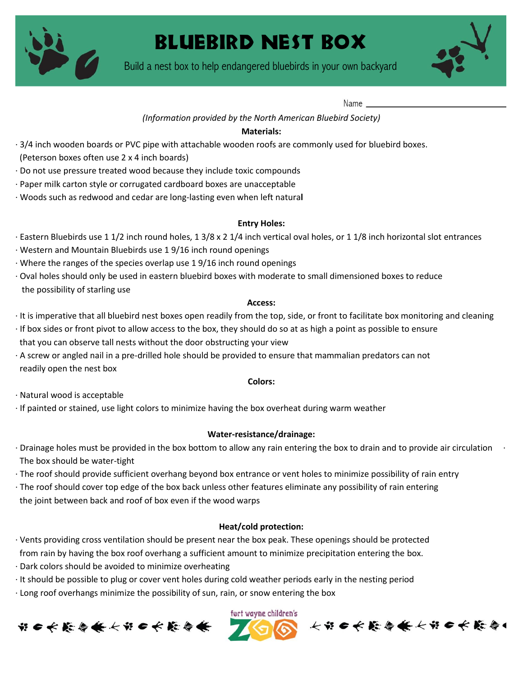

# Bluebird nest box

Build a nest box to help endangered bluebirds in your own backyard



Name

### *(Information provided by the North American Bluebird Society)*

### **Materials:**

- · 3/4 inch wooden boards or PVC pipe with attachable wooden roofs are commonly used for bluebird boxes.
- (Peterson boxes often use 2 x 4 inch boards)
- · Do not use pressure treated wood because they include toxic compounds
- · Paper milk carton style or corrugated cardboard boxes are unacceptable
- · Woods such as redwood and cedar are long-lasting even when left natura**l**

# **Entry Holes:**

- · Eastern Bluebirds use 1 1/2 inch round holes, 1 3/8 x 2 1/4 inch vertical oval holes, or 1 1/8 inch horizontal slot entrances
- · Western and Mountain Bluebirds use 1 9/16 inch round openings
- · Where the ranges of the species overlap use 1 9/16 inch round openings
- · Oval holes should only be used in eastern bluebird boxes with moderate to small dimensioned boxes to reduce the possibility of starling use

#### **Access:**

- · It is imperative that all bluebird nest boxes open readily from the top, side, or front to facilitate box monitoring and cleaning
- · If box sides or front pivot to allow access to the box, they should do so at as high a point as possible to ensure that you can observe tall nests without the door obstructing your view
- · A screw or angled nail in a pre-drilled hole should be provided to ensure that mammalian predators can not readily open the nest box

#### **Colors:**

· Natural wood is acceptable

· If painted or stained, use light colors to minimize having the box overheat during warm weather

# **Water-resistance/drainage:**

- $\cdot$  Drainage holes must be provided in the box bottom to allow any rain entering the box to drain and to provide air circulation  $\cdot$ The box should be water-tight
- · The roof should provide sufficient overhang beyond box entrance or vent holes to minimize possibility of rain entry
- · The roof should cover top edge of the box back unless other features eliminate any possibility of rain entering the joint between back and roof of box even if the wood warps

# **Heat/cold protection:**

- · Vents providing cross ventilation should be present near the box peak. These openings should be protected from rain by having the box roof overhang a sufficient amount to minimize precipitation entering the box.
- · Dark colors should be avoided to minimize overheating
- · It should be possible to plug or cover vent holes during cold weather periods early in the nesting period
- · Long roof overhangs minimize the possibility of sun, rain, or snow entering the box